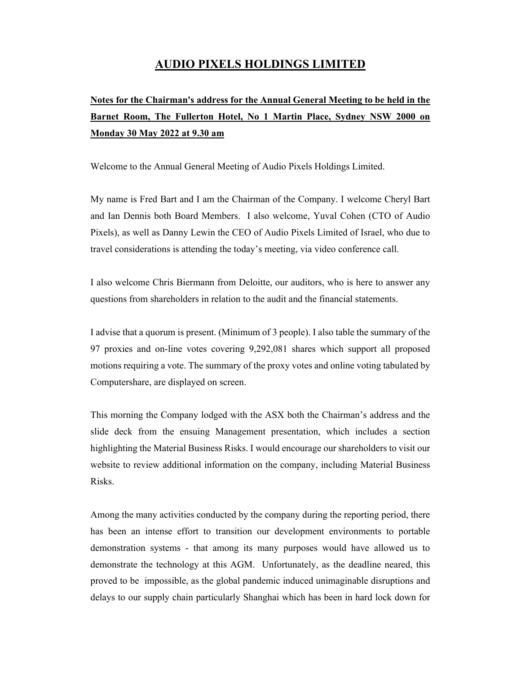## **AUDIO PIXELS HOLDINGS LIMITED**

# **Notes for the Chairman's address for the Annual General Meeting to be held in the Barnet Room, The Fullerton Hotel, No 1 Martin Place, Sydney NSW 2000 on Monday 30 May 2022 at 9.30 am**

Welcome to the Annual General Meeting of Audio Pixels Holdings Limited.

My name is Fred Bart and I am the Chairman of the Company. I welcome Cheryl Bart and Ian Dennis both Board Members. I also welcome, Yuval Cohen (CTO of Audio Pixels), as well as Danny Lewin the CEO of Audio Pixels Limited of Israel, who due to travel considerations is attending the today's meeting, via video conference call.

I also welcome Chris Biermann from Deloitte, our auditors, who is here to answer any questions from shareholders in relation to the audit and the financial statements.

I advise that a quorum is present. (Minimum of 3 people). I also table the summary of the 97 proxies and on-line votes covering 9,292,081 shares which support all proposed motions requiring a vote. The summary of the proxy votes and online voting tabulated by Computershare, are displayed on screen.

This morning the Company lodged with the ASX both the Chairman's address and the slide deck from the ensuing Management presentation, which includes a section highlighting the Material Business Risks. I would encourage our shareholders to visit our website to review additional information on the company, including Material Business Risks.

Among the many activities conducted by the company during the reporting period, there has been an intense effort to transition our development environments to portable demonstration systems - that among its many purposes would have allowed us to demonstrate the technology at this AGM. Unfortunately, as the deadline neared, this proved to be impossible, as the global pandemic induced unimaginable disruptions and delays to our supply chain particularly Shanghai which has been in hard lock down for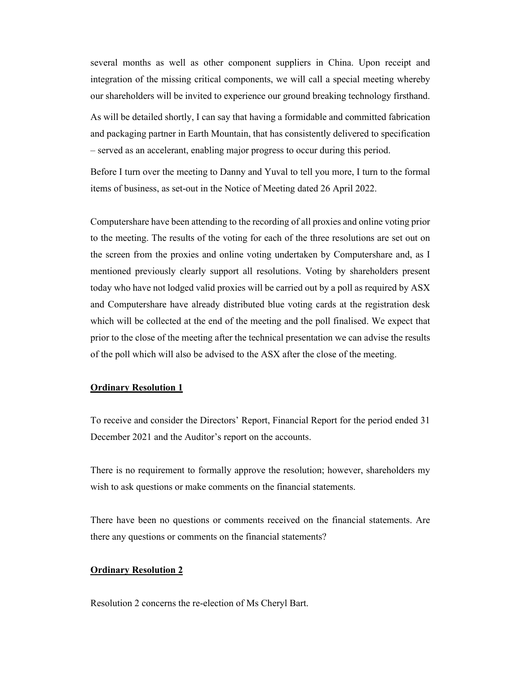several months as well as other component suppliers in China. Upon receipt and integration of the missing critical components, we will call a special meeting whereby our shareholders will be invited to experience our ground breaking technology firsthand.

As will be detailed shortly, I can say that having a formidable and committed fabrication and packaging partner in Earth Mountain, that has consistently delivered to specification – served as an accelerant, enabling major progress to occur during this period.

Before I turn over the meeting to Danny and Yuval to tell you more, I turn to the formal items of business, as set-out in the Notice of Meeting dated 26 April 2022.

Computershare have been attending to the recording of all proxies and online voting prior to the meeting. The results of the voting for each of the three resolutions are set out on the screen from the proxies and online voting undertaken by Computershare and, as I mentioned previously clearly support all resolutions. Voting by shareholders present today who have not lodged valid proxies will be carried out by a poll as required by ASX and Computershare have already distributed blue voting cards at the registration desk which will be collected at the end of the meeting and the poll finalised. We expect that prior to the close of the meeting after the technical presentation we can advise the results of the poll which will also be advised to the ASX after the close of the meeting.

#### **Ordinary Resolution 1**

To receive and consider the Directors' Report, Financial Report for the period ended 31 December 2021 and the Auditor's report on the accounts.

There is no requirement to formally approve the resolution; however, shareholders my wish to ask questions or make comments on the financial statements.

There have been no questions or comments received on the financial statements. Are there any questions or comments on the financial statements?

#### **Ordinary Resolution 2**

Resolution 2 concerns the re-election of Ms Cheryl Bart.